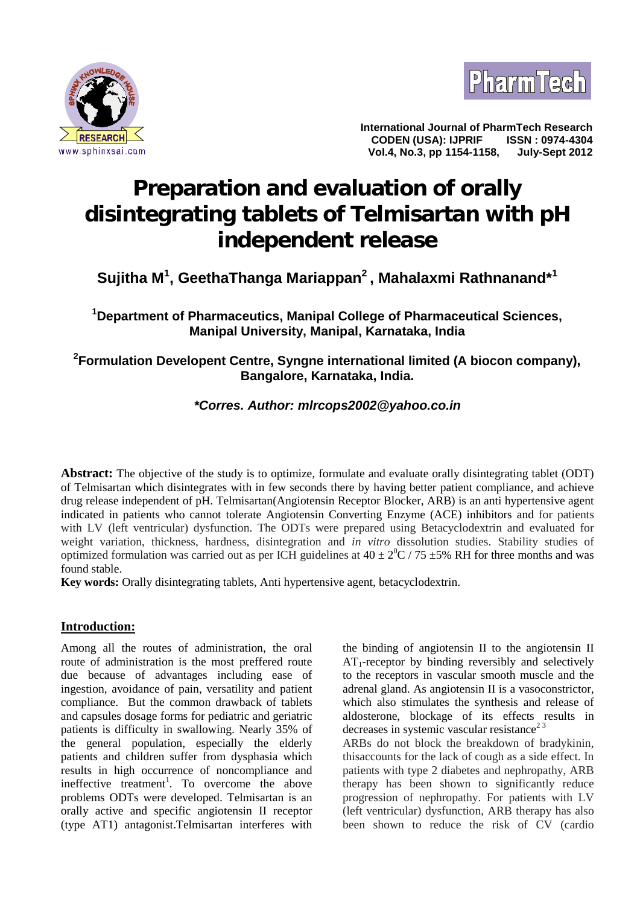



**International Journal of PharmTech Research CODEN (USA): IJPRIF Vol.4, No.3, pp 1154-1158, July-Sept 2012**

# **Preparation and evaluation of orally disintegrating tablets of Telmisartan with pH independent release**

# **Sujitha M<sup>1</sup> , GeethaThanga Mariappan<sup>2</sup> , Mahalaxmi Rathnanand\*<sup>1</sup>**

**<sup>1</sup>Department of Pharmaceutics, Manipal College of Pharmaceutical Sciences, Manipal University, Manipal, Karnataka, India**

# **<sup>2</sup>Formulation Developent Centre, Syngne international limited (A biocon company), Bangalore, Karnataka, India.**

# *\*Corres. Author: mlrcops2002@yahoo.co.in*

**Abstract:** The objective of the study is to optimize, formulate and evaluate orally disintegrating tablet (ODT) of Telmisartan which disintegrates with in few seconds there by having better patient compliance, and achieve drug release independent of pH. Telmisartan(Angiotensin Receptor Blocker, ARB) is an anti hypertensive agent indicated in patients who cannot tolerate Angiotensin Converting Enzyme (ACE) inhibitors and for patients with LV (left ventricular) dysfunction. The ODTs were prepared using Betacyclodextrin and evaluated for weight variation, thickness, hardness, disintegration and *in vitro* dissolution studies. Stability studies of optimized formulation was carried out as per ICH guidelines at  $40 \pm 2^{0}C/75 \pm 5\%$  RH for three months and was found stable.

**Key words:** Orally disintegrating tablets, Anti hypertensive agent, betacyclodextrin.

# **Introduction:**

Among all the routes of administration, the oral route of administration is the most preffered route due because of advantages including ease of ingestion, avoidance of pain, versatility and patient compliance. But the common drawback of tablets and capsules dosage forms for pediatric and geriatric patients is difficulty in swallowing. Nearly 35% of the general population, especially the elderly patients and children suffer from dysphasia which results in high occurrence of noncompliance and ineffective treatment<sup>1</sup>. To overcome the above the problems ODTs were developed. Telmisartan is an orally active and specific angiotensin II receptor (type AT1) antagonist.Telmisartan interferes with

the binding of angiotensin II to the angiotensin II  $AT_1$ -receptor by binding reversibly and selectively to the receptors in vascular smooth muscle and the adrenal gland. As angiotensin II is a vasoconstrictor, which also stimulates the synthesis and release of aldosterone, blockage of its effects results in decreases in systemic vascular resistance<sup>23</sup>

ARBs do not block the breakdown of bradykinin, thisaccounts for the lack of cough as a side effect. In patients with type 2 diabetes and nephropathy, ARB therapy has been shown to significantly reduce progression of nephropathy. For patients with LV (left ventricular) dysfunction, ARB therapy has also been shown to reduce the risk of CV (cardio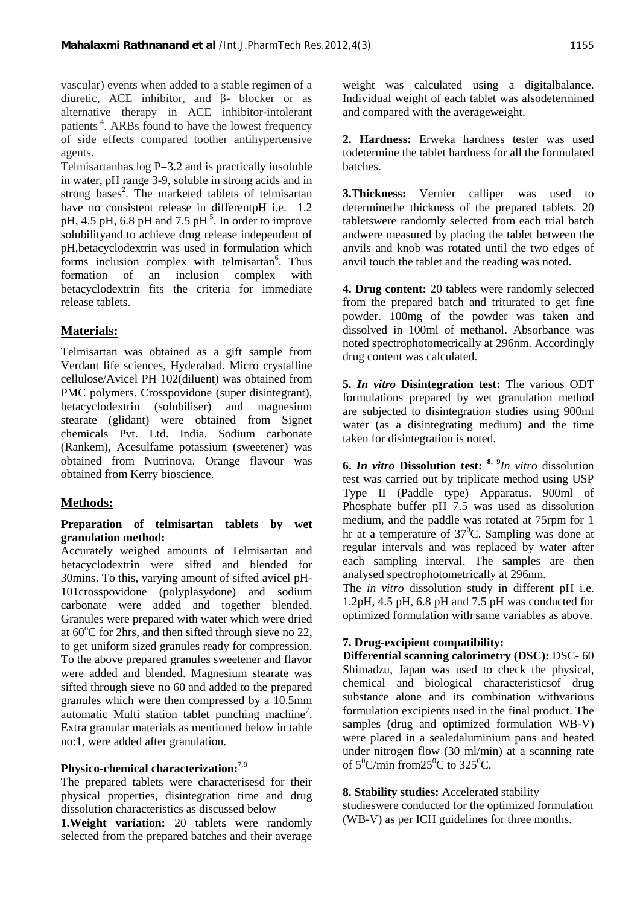weight was calculated using a digitalbalance. Individual weight of each tablet was alsodetermined and compared with the averageweight.

**2. Hardness:** Erweka hardness tester was used todetermine the tablet hardness for all the formulated batches.

**3.Thickness:** Vernier calliper was used to determinethe thickness of the prepared tablets. 20 tabletswere randomly selected from each trial batch andwere measured by placing the tablet between the anvils and knob was rotated until the two edges of anvil touch the tablet and the reading was noted.

**4. Drug content:** 20 tablets were randomly selected from the prepared batch and triturated to get fine powder. 100mg of the powder was taken and dissolved in 100ml of methanol. Absorbance was noted spectrophotometrically at 296nm. Accordingly drug content was calculated.

**5.** *In vitro* **Disintegration test:** The various ODT formulations prepared by wet granulation method are subjected to disintegration studies using 900ml water (as a disintegrating medium) and the time taken for disintegration is noted.

**6.** *In vitro* **Dissolution test: 8, 9***In vitro* dissolution test was carried out by triplicate method using USP Type II (Paddle type) Apparatus. 900ml of Phosphate buffer pH 7.5 was used as dissolution medium, and the paddle was rotated at 75rpm for 1 hr at a temperature of  $37^{\circ}$ C. Sampling was done at regular intervals and was replaced by water after each sampling interval. The samples are then analysed spectrophotometrically at 296nm.

The *in vitro* dissolution study in different pH i.e. 1.2pH, 4.5 pH, 6.8 pH and 7.5 pH was conducted for optimized formulation with same variables as above.

# **7. Drug-excipient compatibility:**

**Differential scanning calorimetry (DSC):** DSC- 60 Shimadzu, Japan was used to check the physical, chemical and biological characteristicsof drug substance alone and its combination withvarious formulation excipients used in the final product. The samples (drug and optimized formulation WB-V) were placed in a sealedaluminium pans and heated under nitrogen flow (30 ml/min) at a scanning rate of  $5^0$ C/min from  $25^0$ C to  $325^0$ C.

#### **8. Stability studies:** Accelerated stability

studieswere conducted for the optimized formulation (WB-V) as per ICH guidelines for three months.

vascular) events when added to a stable regimen of a diuretic, ACE inhibitor, and - blocker or as alternative therapy in ACE inhibitor-intolerant patients<sup>4</sup>. ARBs found to have the lowest frequency of side effects compared toother antihypertensive agents.

Telmisartanhas log P=3.2 and is practically insoluble in water, pH range 3-9, soluble in strong acids and in strong bases<sup>2</sup>. The marketed tablets of telmisartan  $3.1$ have no consistent release in differentpH i.e. 1.2 pH, 4.5 pH, 6.8 pH and 7.5 pH $<sup>5</sup>$ . In order to improve</sup> solubilityand to achieve drug release independent of pH,betacyclodextrin was used in formulation which forms inclusion complex with telmisartan<sup>6</sup>. Thus a formation of an inclusion complex with betacyclodextrin fits the criteria for immediate release tablets.

# **Materials:**

Telmisartan was obtained as a gift sample from Verdant life sciences, Hyderabad. Micro crystalline cellulose/Avicel PH 102(diluent) was obtained from PMC polymers. Crosspovidone (super disintegrant), betacyclodextrin (solubiliser) and magnesium stearate (glidant) were obtained from Signet chemicals Pvt. Ltd. India. Sodium carbonate (Rankem), Acesulfame potassium (sweetener) was obtained from Nutrinova. Orange flavour was obtained from Kerry bioscience.

# **Methods:**

#### **Preparation of telmisartan tablets by wet granulation method:**

Accurately weighed amounts of Telmisartan and betacyclodextrin were sifted and blended for 30mins. To this, varying amount of sifted avicel pH- 101crosspovidone (polyplasydone) and sodium carbonate were added and together blended. Granules were prepared with water which were dried at  $60^{\circ}$ C for 2hrs, and then sifted through sieve no 22, to get uniform sized granules ready for compression. To the above prepared granules sweetener and flavor were added and blended. Magnesium stearate was sifted through sieve no 60 and added to the prepared granules which were then compressed by a 10.5mm automatic Multi station tablet punching machine<sup>7</sup>. Extra granular materials as mentioned below in table no:1, were added after granulation.

#### **Physico-chemical characterization:**7,8

The prepared tablets were characterisesd for their physical properties, disintegration time and drug dissolution characteristics as discussed below

**1.Weight variation:** 20 tablets were randomly selected from the prepared batches and their average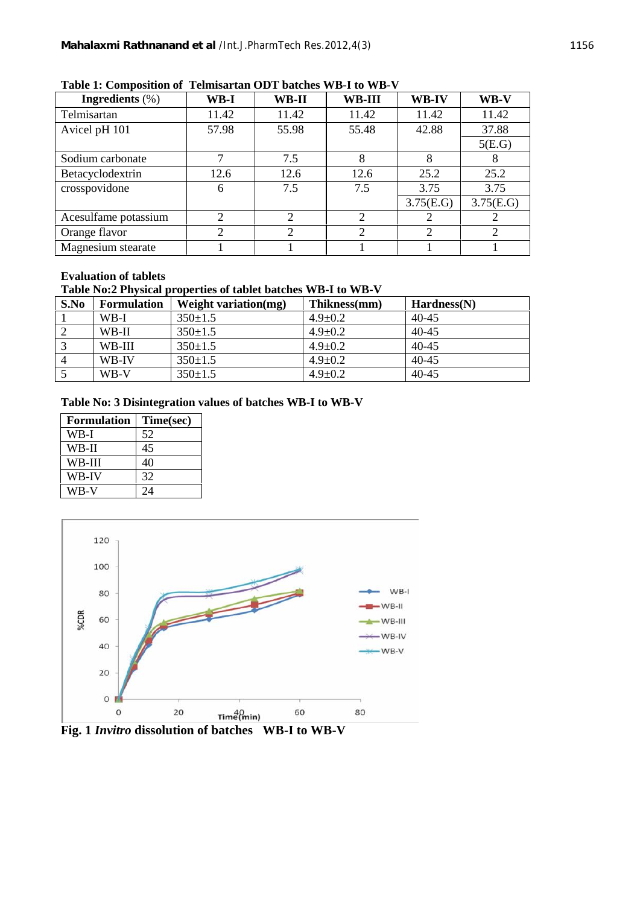| Ingredients $(\%)$   | WB-I  | WB-II | <b>WB-III</b> | WB-IV     | WB-V           |
|----------------------|-------|-------|---------------|-----------|----------------|
| Telmisartan          | 11.42 | 11.42 | 11.42         | 11.42     | 11.42          |
| Avicel pH 101        | 57.98 | 55.98 | 55.48         | 42.88     | 37.88          |
|                      |       |       |               |           | 5(E.G)         |
| Sodium carbonate     |       | 7.5   | 8             |           |                |
| Betacyclodextrin     | 12.6  | 12.6  | 12.6          | 25.2      | 25.2           |
| crosspovidone        | 6     | 7.5   | 7.5           | 3.75      | 3.75           |
|                      |       |       |               | 3.75(E.G) | 3.75(E.G)      |
| Acesulfame potassium |       | 2     | 2             |           |                |
| Orange flavor        | 2     | 2     | 2             | 2         | $\overline{2}$ |
| Magnesium stearate   |       |       |               |           |                |

#### **Table 1: Composition of Telmisartan ODT batches WB-I to WB-V**

#### **Evaluation of tablets**

# **Table No:2 Physical properties of tablet batches WB-I to WB-V**

| S.No     | <b>Formulation</b> | <b>Weight variation(mg)</b> | Thikness(mm)  | Hardness(N) |
|----------|--------------------|-----------------------------|---------------|-------------|
|          | WB-I               | $350 \pm 1.5$               | $4.9 \pm 0.2$ | $40 - 45$   |
| 2        | WB-II              | $350 \pm 1.5$               | $4.9 \pm 0.2$ | $40 - 45$   |
|          | WB-III             | $350 \pm 1.5$               | $4.9 \pm 0.2$ | $40 - 45$   |
| $\Delta$ | WB-IV              | $350 \pm 1.5$               | $4.9 \pm 0.2$ | $40 - 45$   |
|          | WB-V               | $350 \pm 1.5$               | $4.9 \pm 0.2$ | 40-45       |

#### **Table No: 3 Disintegration values of batches WB-I to WB-V**

| <b>Formulation</b> | Time(sec) |  |
|--------------------|-----------|--|
| WB-I               | 52        |  |
| WB-II              | 45        |  |
| WB-III             | 40        |  |
| <b>WB-IV</b>       | 32        |  |
| WB-V               | 24        |  |



**Fig. 1** *Invitro* **dissolution of batches WB-I to WB-V**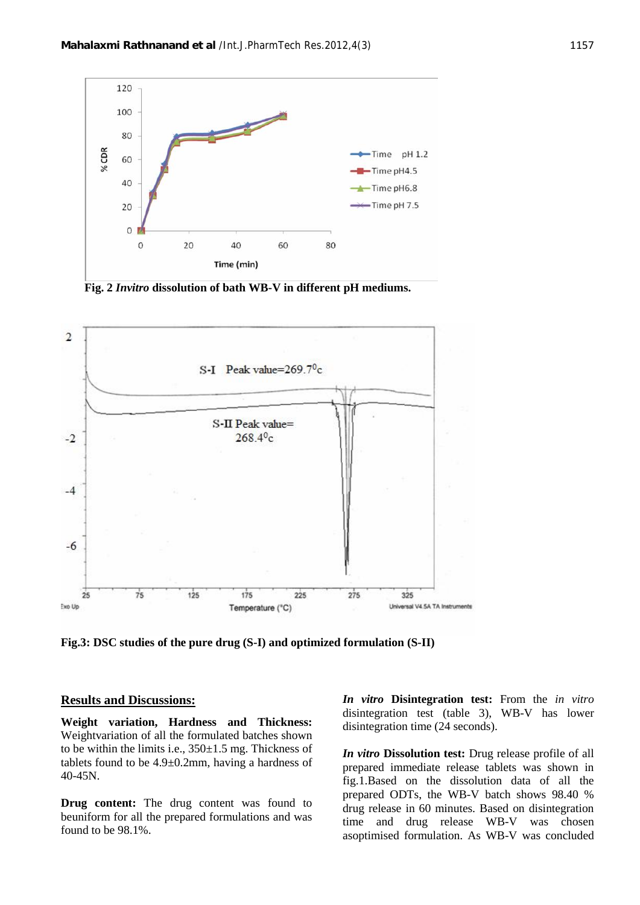

**Fig. 2** *Invitro* **dissolution of bath WB-V in different pH mediums.**



**Fig.3: DSC studies of the pure drug (S-I) and optimized formulation (S-II)**

#### **Results and Discussions:**

**Weight variation, Hardness and Thickness:** Weightvariation of all the formulated batches shown to be within the limits i.e., 350±1.5 mg. Thickness of tablets found to be  $4.9 \pm 0.2$ mm, having a hardness of 40-45N.

**Drug content:** The drug content was found to beuniform for all the prepared formulations and was found to be 98.1%.

*In vitro* **Disintegration test:** From the *in vitro* disintegration test (table 3), WB-V has lower disintegration time (24 seconds).

*In vitro* **Dissolution test:** Drug release profile of all prepared immediate release tablets was shown in fig.1.Based on the dissolution data of all the prepared ODTs, the WB-V batch shows 98.40 % drug release in 60 minutes. Based on disintegration time and drug release WB-V was chosen asoptimised formulation. As WB-V was concluded